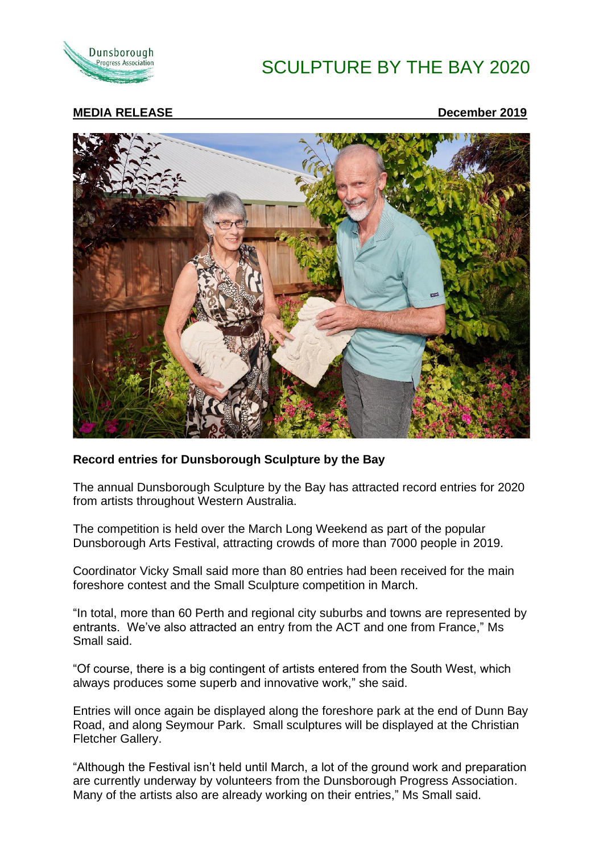

# SCULPTURE BY THE BAY 2020

#### **MEDIA RELEASE December 2019**



#### **Record entries for Dunsborough Sculpture by the Bay**

The annual Dunsborough Sculpture by the Bay has attracted record entries for 2020 from artists throughout Western Australia.

The competition is held over the March Long Weekend as part of the popular Dunsborough Arts Festival, attracting crowds of more than 7000 people in 2019.

Coordinator Vicky Small said more than 80 entries had been received for the main foreshore contest and the Small Sculpture competition in March.

"In total, more than 60 Perth and regional city suburbs and towns are represented by entrants. We've also attracted an entry from the ACT and one from France," Ms Small said.

"Of course, there is a big contingent of artists entered from the South West, which always produces some superb and innovative work," she said.

Entries will once again be displayed along the foreshore park at the end of Dunn Bay Road, and along Seymour Park. Small sculptures will be displayed at the Christian Fletcher Gallery.

"Although the Festival isn't held until March, a lot of the ground work and preparation are currently underway by volunteers from the Dunsborough Progress Association. Many of the artists also are already working on their entries," Ms Small said.